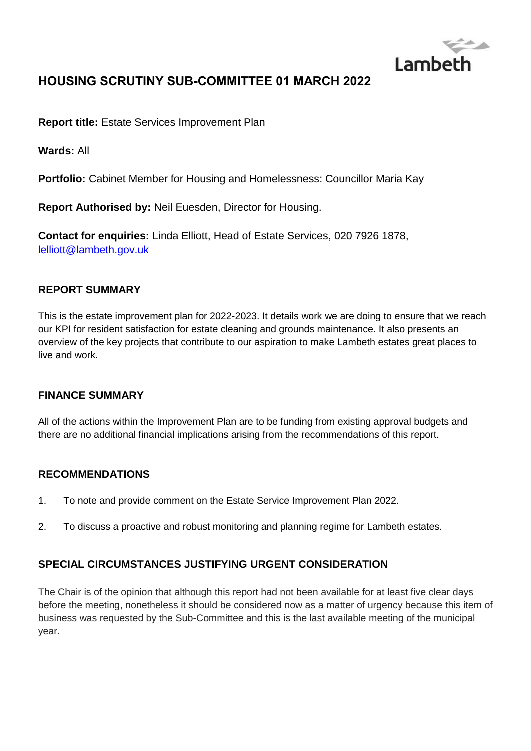

# **HOUSING SCRUTINY SUB-COMMITTEE 01 MARCH 2022**

**Report title:** Estate Services Improvement Plan

**Wards:** All

**Portfolio:** Cabinet Member for Housing and Homelessness: Councillor Maria Kay

**Report Authorised by:** Neil Euesden, Director for Housing.

**Contact for enquiries:** Linda Elliott, Head of Estate Services, 020 7926 1878, [lelliott@lambeth.gov.uk](mailto:lelliott@lambeth.gov.uk)

#### **REPORT SUMMARY**

This is the estate improvement plan for 2022-2023. It details work we are doing to ensure that we reach our KPI for resident satisfaction for estate cleaning and grounds maintenance. It also presents an overview of the key projects that contribute to our aspiration to make Lambeth estates great places to live and work.

#### **FINANCE SUMMARY**

All of the actions within the Improvement Plan are to be funding from existing approval budgets and there are no additional financial implications arising from the recommendations of this report.

#### **RECOMMENDATIONS**

- 1. To note and provide comment on the Estate Service Improvement Plan 2022.
- 2. To discuss a proactive and robust monitoring and planning regime for Lambeth estates.

### **SPECIAL CIRCUMSTANCES JUSTIFYING URGENT CONSIDERATION**

The Chair is of the opinion that although this report had not been available for at least five clear days before the meeting, nonetheless it should be considered now as a matter of urgency because this item of business was requested by the Sub-Committee and this is the last available meeting of the municipal year.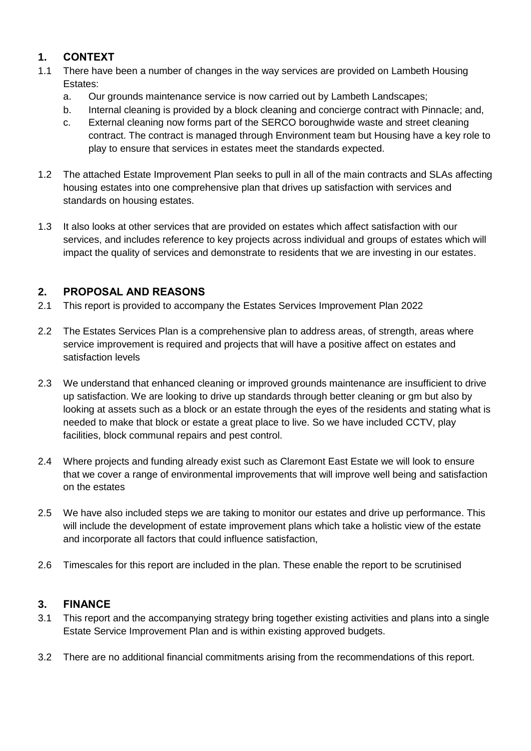## **1. CONTEXT**

- 1.1 There have been a number of changes in the way services are provided on Lambeth Housing Estates:
	- a. Our grounds maintenance service is now carried out by Lambeth Landscapes;
	- b. Internal cleaning is provided by a block cleaning and concierge contract with Pinnacle; and,
	- c. External cleaning now forms part of the SERCO boroughwide waste and street cleaning contract. The contract is managed through Environment team but Housing have a key role to play to ensure that services in estates meet the standards expected.
- 1.2 The attached Estate Improvement Plan seeks to pull in all of the main contracts and SLAs affecting housing estates into one comprehensive plan that drives up satisfaction with services and standards on housing estates.
- 1.3 It also looks at other services that are provided on estates which affect satisfaction with our services, and includes reference to key projects across individual and groups of estates which will impact the quality of services and demonstrate to residents that we are investing in our estates.

### **2. PROPOSAL AND REASONS**

- 2.1 This report is provided to accompany the Estates Services Improvement Plan 2022
- 2.2 The Estates Services Plan is a comprehensive plan to address areas, of strength, areas where service improvement is required and projects that will have a positive affect on estates and satisfaction levels
- 2.3 We understand that enhanced cleaning or improved grounds maintenance are insufficient to drive up satisfaction. We are looking to drive up standards through better cleaning or gm but also by looking at assets such as a block or an estate through the eyes of the residents and stating what is needed to make that block or estate a great place to live. So we have included CCTV, play facilities, block communal repairs and pest control.
- 2.4 Where projects and funding already exist such as Claremont East Estate we will look to ensure that we cover a range of environmental improvements that will improve well being and satisfaction on the estates
- 2.5 We have also included steps we are taking to monitor our estates and drive up performance. This will include the development of estate improvement plans which take a holistic view of the estate and incorporate all factors that could influence satisfaction,
- 2.6 Timescales for this report are included in the plan. These enable the report to be scrutinised

### **3. FINANCE**

- 3.1 This report and the accompanying strategy bring together existing activities and plans into a single Estate Service Improvement Plan and is within existing approved budgets.
- 3.2 There are no additional financial commitments arising from the recommendations of this report.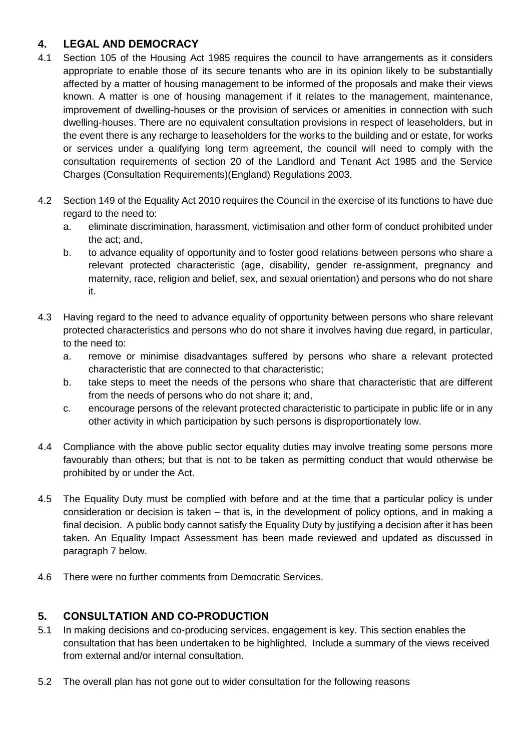### **4. LEGAL AND DEMOCRACY**

- 4.1 Section 105 of the Housing Act 1985 requires the council to have arrangements as it considers appropriate to enable those of its secure tenants who are in its opinion likely to be substantially affected by a matter of housing management to be informed of the proposals and make their views known. A matter is one of housing management if it relates to the management, maintenance, improvement of dwelling-houses or the provision of services or amenities in connection with such dwelling-houses. There are no equivalent consultation provisions in respect of leaseholders, but in the event there is any recharge to leaseholders for the works to the building and or estate, for works or services under a qualifying long term agreement, the council will need to comply with the consultation requirements of section 20 of the Landlord and Tenant Act 1985 and the Service Charges (Consultation Requirements)(England) Regulations 2003.
- 4.2 Section 149 of the Equality Act 2010 requires the Council in the exercise of its functions to have due regard to the need to:
	- a. eliminate discrimination, harassment, victimisation and other form of conduct prohibited under the act; and,
	- b. to advance equality of opportunity and to foster good relations between persons who share a relevant protected characteristic (age, disability, gender re-assignment, pregnancy and maternity, race, religion and belief, sex, and sexual orientation) and persons who do not share it.
- 4.3 Having regard to the need to advance equality of opportunity between persons who share relevant protected characteristics and persons who do not share it involves having due regard, in particular, to the need to:
	- a. remove or minimise disadvantages suffered by persons who share a relevant protected characteristic that are connected to that characteristic;
	- b. take steps to meet the needs of the persons who share that characteristic that are different from the needs of persons who do not share it; and,
	- c. encourage persons of the relevant protected characteristic to participate in public life or in any other activity in which participation by such persons is disproportionately low.
- 4.4 Compliance with the above public sector equality duties may involve treating some persons more favourably than others; but that is not to be taken as permitting conduct that would otherwise be prohibited by or under the Act.
- 4.5 The Equality Duty must be complied with before and at the time that a particular policy is under consideration or decision is taken – that is, in the development of policy options, and in making a final decision. A public body cannot satisfy the Equality Duty by justifying a decision after it has been taken. An Equality Impact Assessment has been made reviewed and updated as discussed in paragraph 7 below.
- 4.6 There were no further comments from Democratic Services.

### **5. CONSULTATION AND CO-PRODUCTION**

- 5.1 In making decisions and co-producing services, engagement is key. This section enables the consultation that has been undertaken to be highlighted. Include a summary of the views received from external and/or internal consultation.
- 5.2 The overall plan has not gone out to wider consultation for the following reasons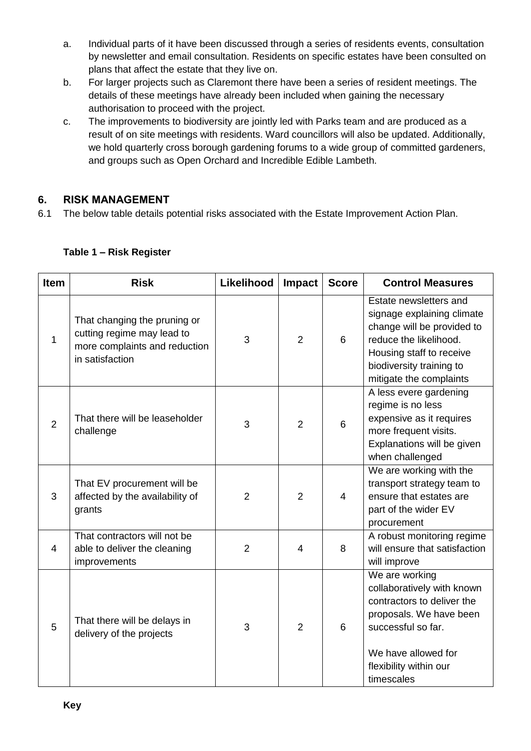- a. Individual parts of it have been discussed through a series of residents events, consultation by newsletter and email consultation. Residents on specific estates have been consulted on plans that affect the estate that they live on.
- b. For larger projects such as Claremont there have been a series of resident meetings. The details of these meetings have already been included when gaining the necessary authorisation to proceed with the project.
- c. The improvements to biodiversity are jointly led with Parks team and are produced as a result of on site meetings with residents. Ward councillors will also be updated. Additionally, we hold quarterly cross borough gardening forums to a wide group of committed gardeners, and groups such as Open Orchard and Incredible Edible Lambeth.

## **6. RISK MANAGEMENT**

6.1 The below table details potential risks associated with the Estate Improvement Action Plan.

| <b>Item</b>    | <b>Risk</b>                                                                                                    | Likelihood     | Impact         | <b>Score</b> | <b>Control Measures</b>                                                                                                                                                                         |
|----------------|----------------------------------------------------------------------------------------------------------------|----------------|----------------|--------------|-------------------------------------------------------------------------------------------------------------------------------------------------------------------------------------------------|
| 1              | That changing the pruning or<br>cutting regime may lead to<br>more complaints and reduction<br>in satisfaction | 3              | $\overline{2}$ | 6            | Estate newsletters and<br>signage explaining climate<br>change will be provided to<br>reduce the likelihood.<br>Housing staff to receive<br>biodiversity training to<br>mitigate the complaints |
| 2              | That there will be leaseholder<br>challenge                                                                    | 3              | 2              | 6            | A less evere gardening<br>regime is no less<br>expensive as it requires<br>more frequent visits.<br>Explanations will be given<br>when challenged                                               |
| 3              | That EV procurement will be<br>affected by the availability of<br>grants                                       | $\overline{2}$ | $\overline{2}$ | 4            | We are working with the<br>transport strategy team to<br>ensure that estates are<br>part of the wider EV<br>procurement                                                                         |
| $\overline{4}$ | That contractors will not be<br>able to deliver the cleaning<br>improvements                                   | $\overline{2}$ | 4              | 8            | A robust monitoring regime<br>will ensure that satisfaction<br>will improve                                                                                                                     |
| 5              | That there will be delays in<br>delivery of the projects                                                       | 3              | $\overline{2}$ | 6            | We are working<br>collaboratively with known<br>contractors to deliver the<br>proposals. We have been<br>successful so far.<br>We have allowed for<br>flexibility within our<br>timescales      |

#### **Table 1 – Risk Register**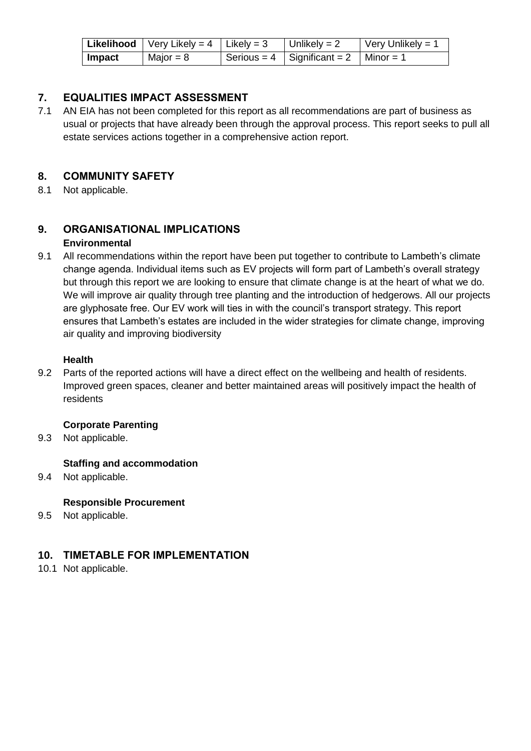|        | <b>Likelihood</b>   Very Likely = $4$   Likely = $3$ | Unlikely = $2$                     | $\sqrt{\frac{1}{1}}$ Very Unlikely = 1 |
|--------|------------------------------------------------------|------------------------------------|----------------------------------------|
| Impact | Major = $8$                                          | Serious = $4 \mid$ Significant = 2 | $\blacksquare$ Minor = 1               |

#### **7. EQUALITIES IMPACT ASSESSMENT**

7.1 AN EIA has not been completed for this report as all recommendations are part of business as usual or projects that have already been through the approval process. This report seeks to pull all estate services actions together in a comprehensive action report.

#### **8. COMMUNITY SAFETY**

8.1 Not applicable.

#### **9. ORGANISATIONAL IMPLICATIONS Environmental**

9.1 All recommendations within the report have been put together to contribute to Lambeth's climate change agenda. Individual items such as EV projects will form part of Lambeth's overall strategy but through this report we are looking to ensure that climate change is at the heart of what we do. We will improve air quality through tree planting and the introduction of hedgerows. All our projects are glyphosate free. Our EV work will ties in with the council's transport strategy. This report ensures that Lambeth's estates are included in the wider strategies for climate change, improving air quality and improving biodiversity

#### **Health**

9.2 Parts of the reported actions will have a direct effect on the wellbeing and health of residents. Improved green spaces, cleaner and better maintained areas will positively impact the health of residents

#### **Corporate Parenting**

9.3 Not applicable.

#### **Staffing and accommodation**

9.4 Not applicable.

#### **Responsible Procurement**

9.5 Not applicable.

#### **10. TIMETABLE FOR IMPLEMENTATION**

10.1 Not applicable.